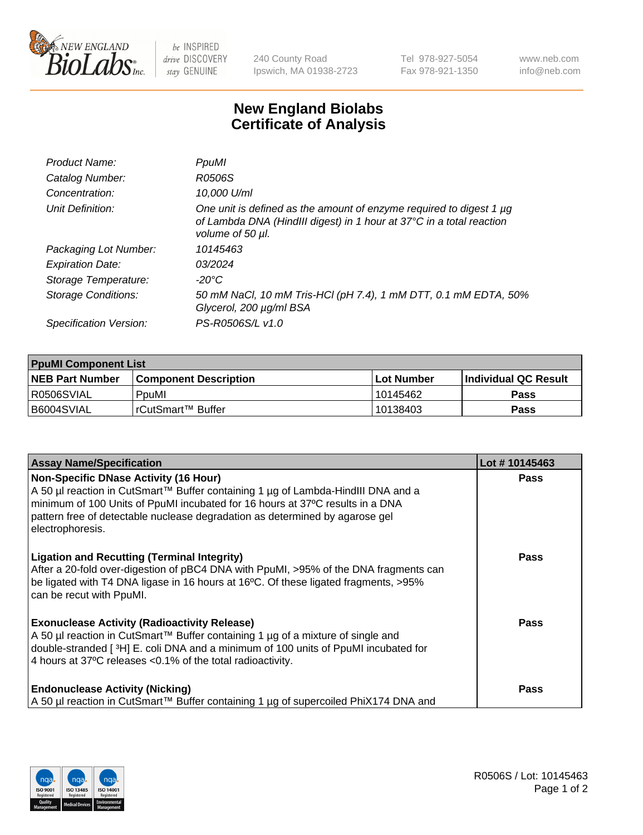

 $be$  INSPIRED drive DISCOVERY stay GENUINE

240 County Road Ipswich, MA 01938-2723 Tel 978-927-5054 Fax 978-921-1350 www.neb.com info@neb.com

## **New England Biolabs Certificate of Analysis**

| Product Name:           | PpuMI                                                                                                                                                           |
|-------------------------|-----------------------------------------------------------------------------------------------------------------------------------------------------------------|
| Catalog Number:         | R0506S                                                                                                                                                          |
| Concentration:          | 10,000 U/ml                                                                                                                                                     |
| Unit Definition:        | One unit is defined as the amount of enzyme required to digest 1 µg<br>of Lambda DNA (HindIII digest) in 1 hour at 37°C in a total reaction<br>volume of 50 µl. |
| Packaging Lot Number:   | 10145463                                                                                                                                                        |
| <b>Expiration Date:</b> | 03/2024                                                                                                                                                         |
| Storage Temperature:    | -20°C                                                                                                                                                           |
| Storage Conditions:     | 50 mM NaCl, 10 mM Tris-HCl (pH 7.4), 1 mM DTT, 0.1 mM EDTA, 50%<br>Glycerol, 200 µg/ml BSA                                                                      |
| Specification Version:  | PS-R0506S/L v1.0                                                                                                                                                |

| <b>PpuMI Component List</b> |                              |             |                       |  |  |
|-----------------------------|------------------------------|-------------|-----------------------|--|--|
| <b>NEB Part Number</b>      | <b>Component Description</b> | ⊺Lot Number | ∣Individual QC Result |  |  |
| R0506SVIAL                  | PouMI                        | 10145462    | <b>Pass</b>           |  |  |
| B6004SVIAL                  | l rCutSmart™ Buffer_         | 10138403    | <b>Pass</b>           |  |  |

| <b>Assay Name/Specification</b>                                                                                                                                                                                                                                                                                  | Lot #10145463 |
|------------------------------------------------------------------------------------------------------------------------------------------------------------------------------------------------------------------------------------------------------------------------------------------------------------------|---------------|
| Non-Specific DNase Activity (16 Hour)<br>  A 50 µl reaction in CutSmart™ Buffer containing 1 µg of Lambda-HindIII DNA and a<br>minimum of 100 Units of PpuMI incubated for 16 hours at 37°C results in a DNA<br>pattern free of detectable nuclease degradation as determined by agarose gel<br>electrophoresis. | <b>Pass</b>   |
| <b>Ligation and Recutting (Terminal Integrity)</b><br>After a 20-fold over-digestion of pBC4 DNA with PpuMI, >95% of the DNA fragments can<br>be ligated with T4 DNA ligase in 16 hours at 16°C. Of these ligated fragments, >95%<br>can be recut with PpuMI.                                                    | <b>Pass</b>   |
| <b>Exonuclease Activity (Radioactivity Release)</b><br>  A 50 µl reaction in CutSmart™ Buffer containing 1 µg of a mixture of single and<br>double-stranded [3H] E. coli DNA and a minimum of 100 units of PpuMI incubated for<br>4 hours at 37°C releases <0.1% of the total radioactivity.                     | Pass          |
| <b>Endonuclease Activity (Nicking)</b><br>  A 50 µl reaction in CutSmart™ Buffer containing 1 µg of supercoiled PhiX174 DNA and                                                                                                                                                                                  | <b>Pass</b>   |